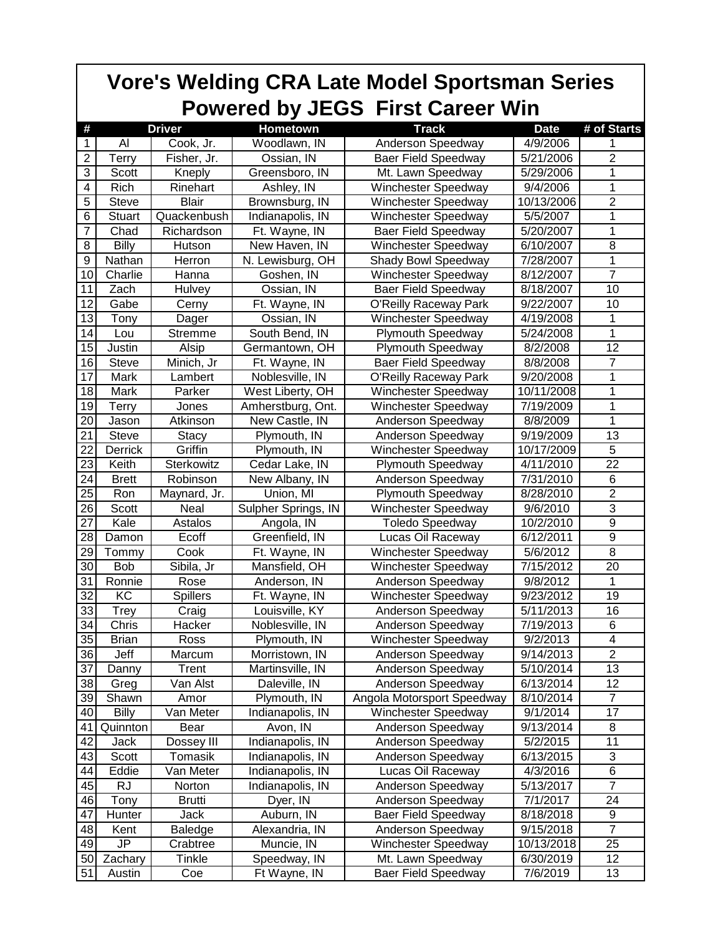|                 | <b>Vore's Welding CRA Late Model Sportsman Series</b><br><b>Powered by JEGS First Career Win</b> |                 |                     |                            |             |                         |  |  |  |  |
|-----------------|--------------------------------------------------------------------------------------------------|-----------------|---------------------|----------------------------|-------------|-------------------------|--|--|--|--|
| #               |                                                                                                  | <b>Driver</b>   | <b>Hometown</b>     | <b>Track</b>               | <b>Date</b> | # of Starts             |  |  |  |  |
| 1               | Al                                                                                               | Cook, Jr.       | Woodlawn, IN        | <b>Anderson Speedway</b>   | 4/9/2006    |                         |  |  |  |  |
| $\overline{2}$  | Terry                                                                                            | Fisher, Jr.     | Ossian, IN          | <b>Baer Field Speedway</b> | 5/21/2006   | $\overline{c}$          |  |  |  |  |
| 3               | Scott                                                                                            | Kneply          | Greensboro, IN      | Mt. Lawn Speedway          | 5/29/2006   | 1                       |  |  |  |  |
| 4               | Rich                                                                                             | Rinehart        | Ashley, IN          | <b>Winchester Speedway</b> | 9/4/2006    | 1                       |  |  |  |  |
| 5               | <b>Steve</b>                                                                                     | <b>Blair</b>    | Brownsburg, IN      | Winchester Speedway        | 10/13/2006  | $\overline{2}$          |  |  |  |  |
| 6               | <b>Stuart</b>                                                                                    | Quackenbush     | Indianapolis, IN    | <b>Winchester Speedway</b> | 5/5/2007    | 1                       |  |  |  |  |
| 7               | Chad                                                                                             | Richardson      | Ft. Wayne, IN       | <b>Baer Field Speedway</b> | 5/20/2007   | 1                       |  |  |  |  |
| 8               | <b>Billy</b>                                                                                     | Hutson          | New Haven, IN       | <b>Winchester Speedway</b> | 6/10/2007   | 8                       |  |  |  |  |
| 9               | Nathan                                                                                           | Herron          | N. Lewisburg, OH    | Shady Bowl Speedway        | 7/28/2007   | 1                       |  |  |  |  |
| 10              | Charlie                                                                                          | Hanna           | Goshen, IN          | Winchester Speedway        | 8/12/2007   | $\overline{7}$          |  |  |  |  |
| 11              | Zach                                                                                             | Hulvey          | Ossian, IN          | <b>Baer Field Speedway</b> | 8/18/2007   | 10                      |  |  |  |  |
| 12              | Gabe                                                                                             | Cerny           | Ft. Wayne, IN       | O'Reilly Raceway Park      | 9/22/2007   | 10                      |  |  |  |  |
| $\overline{13}$ | Tony                                                                                             | Dager           | Ossian, IN          | Winchester Speedway        | 4/19/2008   | 1                       |  |  |  |  |
| 14              | Lou                                                                                              | Stremme         | South Bend, IN      | <b>Plymouth Speedway</b>   | 5/24/2008   | 1                       |  |  |  |  |
| 15              | Justin                                                                                           | Alsip           | Germantown, OH      | <b>Plymouth Speedway</b>   | 8/2/2008    | 12                      |  |  |  |  |
| 16              | <b>Steve</b>                                                                                     | Minich, Jr      | Ft. Wayne, IN       | <b>Baer Field Speedway</b> | 8/8/2008    | 7                       |  |  |  |  |
| 17              | Mark                                                                                             | Lambert         | Noblesville, IN     | O'Reilly Raceway Park      | 9/20/2008   | 1                       |  |  |  |  |
| 18              | Mark                                                                                             | Parker          | West Liberty, OH    | <b>Winchester Speedway</b> | 10/11/2008  | 1                       |  |  |  |  |
| 19              | Terry                                                                                            | Jones           | Amherstburg, Ont.   | <b>Winchester Speedway</b> | 7/19/2009   | 1                       |  |  |  |  |
| 20              | Jason                                                                                            | Atkinson        | New Castle, IN      | Anderson Speedway          | 8/8/2009    | 1                       |  |  |  |  |
| 21              | <b>Steve</b>                                                                                     | <b>Stacy</b>    | Plymouth, IN        | Anderson Speedway          | 9/19/2009   | 13                      |  |  |  |  |
| 22              | Derrick                                                                                          | Griffin         | Plymouth, IN        | Winchester Speedway        | 10/17/2009  | 5                       |  |  |  |  |
| 23              | Keith                                                                                            | Sterkowitz      | Cedar Lake, IN      | Plymouth Speedway          | 4/11/2010   | 22                      |  |  |  |  |
| 24              | <b>Brett</b>                                                                                     | Robinson        | New Albany, IN      | Anderson Speedway          | 7/31/2010   | 6                       |  |  |  |  |
| 25              | Ron                                                                                              | Maynard, Jr.    | Union, MI           | <b>Plymouth Speedway</b>   | 8/28/2010   | $\overline{2}$          |  |  |  |  |
| 26              | Scott                                                                                            | Neal            | Sulpher Springs, IN | <b>Winchester Speedway</b> | 9/6/2010    | $\overline{3}$          |  |  |  |  |
| 27              | Kale                                                                                             | Astalos         | Angola, IN          | <b>Toledo Speedway</b>     | 10/2/2010   | $\boldsymbol{9}$        |  |  |  |  |
| 28              | Damon                                                                                            | Ecoff           | Greenfield, IN      | Lucas Oil Raceway          | 6/12/2011   | $\overline{9}$          |  |  |  |  |
| 29              | Tommy                                                                                            | Cook            | Ft. Wayne, IN       | Winchester Speedway        | 5/6/2012    | $\overline{8}$          |  |  |  |  |
| 30              | <b>Bob</b>                                                                                       | Sibila, Jr      | Mansfield, OH       | <b>Winchester Speedway</b> | 7/15/2012   | 20                      |  |  |  |  |
| 31              | Ronnie                                                                                           | Rose            | Anderson, IN        | Anderson Speedway          | 9/8/2012    | 1                       |  |  |  |  |
| 32              | KC                                                                                               | <b>Spillers</b> | Ft. Wayne, IN       | Winchester Speedway        | 9/23/2012   | 19                      |  |  |  |  |
| 33              | <b>Trey</b>                                                                                      | Craig           | Louisville, KY      | Anderson Speedway          | 5/11/2013   | 16                      |  |  |  |  |
| 34              | Chris                                                                                            | Hacker          | Noblesville, IN     | Anderson Speedway          | 7/19/2013   | 6                       |  |  |  |  |
| 35              | <b>Brian</b>                                                                                     | Ross            | Plymouth, IN        | <b>Winchester Speedway</b> | 9/2/2013    | $\overline{\mathbf{4}}$ |  |  |  |  |
| 36              | Jeff                                                                                             | Marcum          | Morristown, IN      | Anderson Speedway          | 9/14/2013   | $\overline{2}$          |  |  |  |  |
| 37              | Danny                                                                                            | Trent           | Martinsville, IN    | Anderson Speedway          | 5/10/2014   | 13                      |  |  |  |  |
| 38              | Greg                                                                                             | Van Alst        | Daleville, IN       | Anderson Speedway          | 6/13/2014   | 12                      |  |  |  |  |
| 39              | Shawn                                                                                            | Amor            | Plymouth, IN        | Angola Motorsport Speedway | 8/10/2014   | 7                       |  |  |  |  |
| 40              | <b>Billy</b>                                                                                     | Van Meter       | Indianapolis, IN    | <b>Winchester Speedway</b> | 9/1/2014    | 17                      |  |  |  |  |
| 41              | Quinnton                                                                                         | Bear            | Avon, IN            | Anderson Speedway          | 9/13/2014   | 8                       |  |  |  |  |
| 42              | Jack                                                                                             | Dossey III      | Indianapolis, IN    | Anderson Speedway          | 5/2/2015    | 11                      |  |  |  |  |
| 43              | Scott                                                                                            | Tomasik         | Indianapolis, IN    | Anderson Speedway          | 6/13/2015   | $\overline{3}$          |  |  |  |  |
| 44              | Eddie                                                                                            | Van Meter       | Indianapolis, IN    | Lucas Oil Raceway          | 4/3/2016    | 6                       |  |  |  |  |
| 45              | RJ                                                                                               | Norton          | Indianapolis, IN    | Anderson Speedway          | 5/13/2017   | $\overline{7}$          |  |  |  |  |
| 46              | Tony                                                                                             | Brutti          | Dyer, IN            | Anderson Speedway          | 7/1/2017    | 24                      |  |  |  |  |
| 47              | Hunter                                                                                           | Jack            | Auburn, IN          | <b>Baer Field Speedway</b> | 8/18/2018   | $\overline{9}$          |  |  |  |  |
| 48              | Kent                                                                                             | Baledge         | Alexandria, IN      | Anderson Speedway          | 9/15/2018   | $\overline{7}$          |  |  |  |  |
| 49              | JP                                                                                               | Crabtree        | Muncie, IN          | <b>Winchester Speedway</b> | 10/13/2018  | 25                      |  |  |  |  |
| 50              | Zachary                                                                                          | Tinkle          | Speedway, IN        | Mt. Lawn Speedway          | 6/30/2019   | 12                      |  |  |  |  |
| 51              | Austin                                                                                           | Coe             | Ft Wayne, IN        | <b>Baer Field Speedway</b> | 7/6/2019    | 13                      |  |  |  |  |